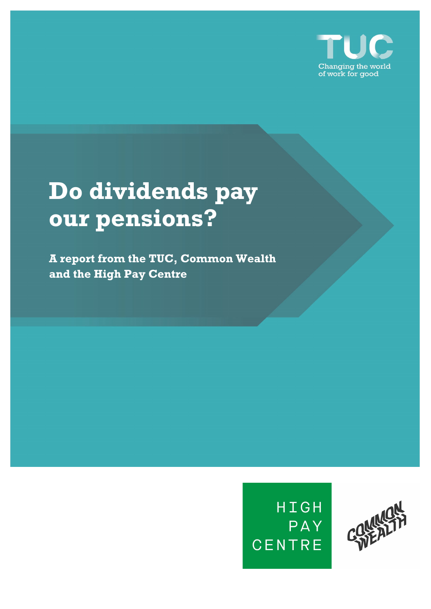

# **Do dividends pay our pensions?**

**A report from the TUC, Common Wealth and the High Pay Centre** 



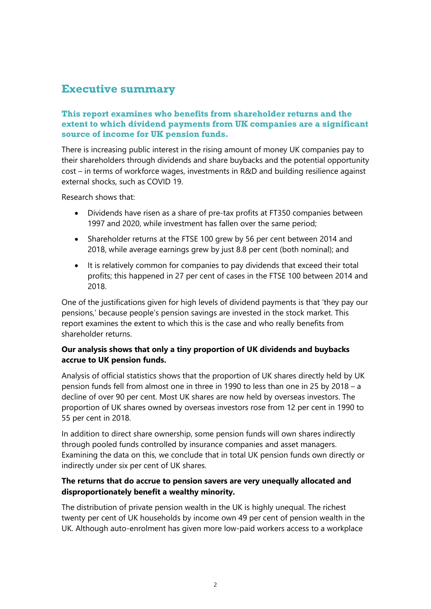# **Executive summary**

## **This report examines who benefits from shareholder returns and the extent to which dividend payments from UK companies are a significant source of income for UK pension funds.**

There is increasing public interest in the rising amount of money UK companies pay to their shareholders through dividends and share buybacks and the potential opportunity cost – in terms of workforce wages, investments in R&D and building resilience against external shocks, such as COVID 19.

Research shows that:

- Dividends have risen as a share of pre-tax profits at FT350 companies between 1997 and 2020, while investment has fallen over the same period;
- Shareholder returns at the FTSE 100 grew by 56 per cent between 2014 and 2018, while average earnings grew by just 8.8 per cent (both nominal); and
- It is relatively common for companies to pay dividends that exceed their total profits; this happened in 27 per cent of cases in the FTSE 100 between 2014 and 2018.

One of the justifications given for high levels of dividend payments is that 'they pay our pensions,' because people's pension savings are invested in the stock market. This report examines the extent to which this is the case and who really benefits from shareholder returns.

## **Our analysis shows that only a tiny proportion of UK dividends and buybacks accrue to UK pension funds.**

Analysis of official statistics shows that the proportion of UK shares directly held by UK pension funds fell from almost one in three in 1990 to less than one in 25 by 2018 – a decline of over 90 per cent. Most UK shares are now held by overseas investors. The proportion of UK shares owned by overseas investors rose from 12 per cent in 1990 to 55 per cent in 2018.

In addition to direct share ownership, some pension funds will own shares indirectly through pooled funds controlled by insurance companies and asset managers. Examining the data on this, we conclude that in total UK pension funds own directly or indirectly under six per cent of UK shares.

## **The returns that do accrue to pension savers are very unequally allocated and disproportionately benefit a wealthy minority.**

The distribution of private pension wealth in the UK is highly unequal. The richest twenty per cent of UK households by income own 49 per cent of pension wealth in the UK. Although auto-enrolment has given more low-paid workers access to a workplace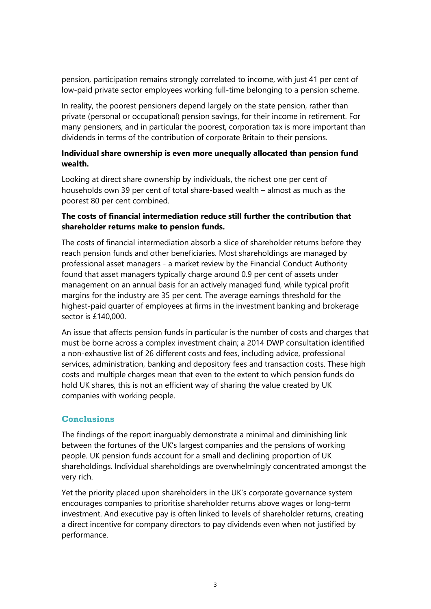pension, participation remains strongly correlated to income, with just 41 per cent of low-paid private sector employees working full-time belonging to a pension scheme.

In reality, the poorest pensioners depend largely on the state pension, rather than private (personal or occupational) pension savings, for their income in retirement. For many pensioners, and in particular the poorest, corporation tax is more important than dividends in terms of the contribution of corporate Britain to their pensions.

#### **Individual share ownership is even more unequally allocated than pension fund wealth.**

Looking at direct share ownership by individuals, the richest one per cent of households own 39 per cent of total share-based wealth – almost as much as the poorest 80 per cent combined.

#### **The costs of financial intermediation reduce still further the contribution that shareholder returns make to pension funds.**

The costs of financial intermediation absorb a slice of shareholder returns before they reach pension funds and other beneficiaries. Most shareholdings are managed by professional asset managers - a market review by the Financial Conduct Authority found that asset managers typically charge around 0.9 per cent of assets under management on an annual basis for an actively managed fund, while typical profit margins for the industry are 35 per cent. The average earnings threshold for the highest-paid quarter of employees at firms in the investment banking and brokerage sector is £140,000.

An issue that affects pension funds in particular is the number of costs and charges that must be borne across a complex investment chain; a 2014 DWP consultation identified a non-exhaustive list of 26 different costs and fees, including advice, professional services, administration, banking and depository fees and transaction costs. These high costs and multiple charges mean that even to the extent to which pension funds do hold UK shares, this is not an efficient way of sharing the value created by UK companies with working people.

#### **Conclusions**

The findings of the report inarguably demonstrate a minimal and diminishing link between the fortunes of the UK's largest companies and the pensions of working people. UK pension funds account for a small and declining proportion of UK shareholdings. Individual shareholdings are overwhelmingly concentrated amongst the very rich.

Yet the priority placed upon shareholders in the UK's corporate governance system encourages companies to prioritise shareholder returns above wages or long-term investment. And executive pay is often linked to levels of shareholder returns, creating a direct incentive for company directors to pay dividends even when not justified by performance.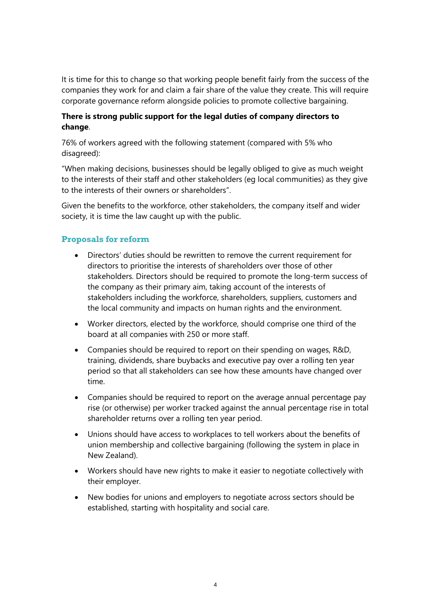It is time for this to change so that working people benefit fairly from the success of the companies they work for and claim a fair share of the value they create. This will require corporate governance reform alongside policies to promote collective bargaining.

#### **There is strong public support for the legal duties of company directors to change**.

76% of workers agreed with the following statement (compared with 5% who disagreed):

"When making decisions, businesses should be legally obliged to give as much weight to the interests of their staff and other stakeholders (eg local communities) as they give to the interests of their owners or shareholders".

Given the benefits to the workforce, other stakeholders, the company itself and wider society, it is time the law caught up with the public.

#### **Proposals for reform**

- Directors' duties should be rewritten to remove the current requirement for directors to prioritise the interests of shareholders over those of other stakeholders. Directors should be required to promote the long-term success of the company as their primary aim, taking account of the interests of stakeholders including the workforce, shareholders, suppliers, customers and the local community and impacts on human rights and the environment.
- Worker directors, elected by the workforce, should comprise one third of the board at all companies with 250 or more staff.
- Companies should be required to report on their spending on wages, R&D, training, dividends, share buybacks and executive pay over a rolling ten year period so that all stakeholders can see how these amounts have changed over time.
- Companies should be required to report on the average annual percentage pay rise (or otherwise) per worker tracked against the annual percentage rise in total shareholder returns over a rolling ten year period.
- Unions should have access to workplaces to tell workers about the benefits of union membership and collective bargaining (following the system in place in New Zealand).
- Workers should have new rights to make it easier to negotiate collectively with their employer.
- New bodies for unions and employers to negotiate across sectors should be established, starting with hospitality and social care.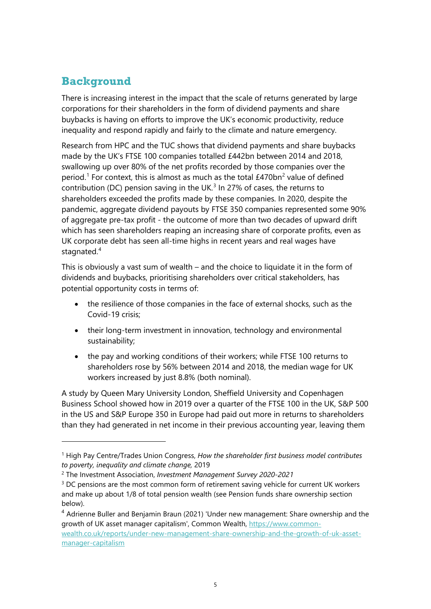## **Background**

There is increasing interest in the impact that the scale of returns generated by large corporations for their shareholders in the form of dividend payments and share buybacks is having on efforts to improve the UK's economic productivity, reduce inequality and respond rapidly and fairly to the climate and nature emergency.

Research from HPC and the TUC shows that dividend payments and share buybacks made by the UK's FTSE 100 companies totalled £442bn between 2014 and 2018, swallowing up over 80% of the net profits recorded by those companies over the period.<sup>[1](#page-4-0)</sup> For context, this is almost as much as the total  $E470bn^2$  $E470bn^2$  value of defined contribution (DC) pension saving in the UK. $3$  In 27% of cases, the returns to shareholders exceeded the profits made by these companies. In 2020, despite the pandemic, aggregate dividend payouts by FTSE 350 companies represented some 90% of aggregate pre-tax profit - the outcome of more than two decades of upward drift which has seen shareholders reaping an increasing share of corporate profits, even as UK corporate debt has seen all-time highs in recent years and real wages have stagnated.<sup>[4](#page-4-3)</sup>

This is obviously a vast sum of wealth – and the choice to liquidate it in the form of dividends and buybacks, prioritising shareholders over critical stakeholders, has potential opportunity costs in terms of:

- the resilience of those companies in the face of external shocks, such as the Covid-19 crisis;
- their long-term investment in innovation, technology and environmental sustainability;
- the pay and working conditions of their workers; while FTSE 100 returns to shareholders rose by 56% between 2014 and 2018, the median wage for UK workers increased by just 8.8% (both nominal).

A study by Queen Mary University London, Sheffield University and Copenhagen Business School showed how in 2019 over a quarter of the FTSE 100 in the UK, S&P 500 in the US and S&P Europe 350 in Europe had paid out more in returns to shareholders than they had generated in net income in their previous accounting year, leaving them

<span id="page-4-0"></span><sup>1</sup> High Pay Centre/Trades Union Congress, *How the shareholder first business model contributes to poverty, inequality and climate change,* 2019

<span id="page-4-1"></span><sup>2</sup> The Investment Association, *Investment Management Survey 2020-2021*

<span id="page-4-2"></span><sup>&</sup>lt;sup>3</sup> DC pensions are the most common form of retirement saving vehicle for current UK workers and make up about 1/8 of total pension wealth (see Pension funds share ownership section below).

<span id="page-4-3"></span><sup>&</sup>lt;sup>4</sup> Adrienne Buller and Benjamin Braun (2021) 'Under new management: Share ownership and the growth of UK asset manager capitalism', Common Wealth, [https://www.common](https://www.common-wealth.co.uk/reports/under-new-management-share-ownership-and-the-growth-of-uk-asset-manager-capitalism)[wealth.co.uk/reports/under-new-management-share-ownership-and-the-growth-of-uk-asset](https://www.common-wealth.co.uk/reports/under-new-management-share-ownership-and-the-growth-of-uk-asset-manager-capitalism)[manager-capitalism](https://www.common-wealth.co.uk/reports/under-new-management-share-ownership-and-the-growth-of-uk-asset-manager-capitalism)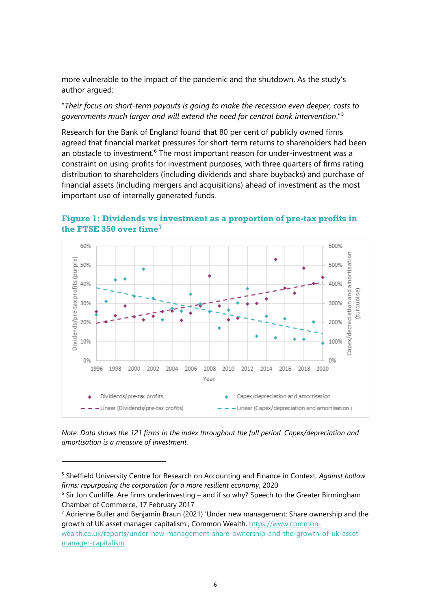more vulnerable to the impact of the pandemic and the shutdown. As the study's author argued:

#### "*Their focus on short-term payouts is going to make the recession even deeper, costs to governments much larger and will extend the need for central bank intervention*."[5](#page-5-0)

Research for the Bank of England found that 80 per cent of publicly owned firms agreed that financial market pressures for short-term returns to shareholders had been an obstacle to investment.<sup>[6](#page-5-1)</sup> The most important reason for under-investment was a constraint on using profits for investment purposes, with three quarters of firms rating distribution to shareholders (including dividends and share buybacks) and purchase of financial assets (including mergers and acquisitions) ahead of investment as the most important use of internally generated funds.



#### **Figure 1: Dividends vs investment as a proportion of pre-tax profits in the FTSE 350 over time[7](#page-5-2)**

*Note: Data shows the 121 firms in the index throughout the full period. Capex/depreciation and amortisation is a measure of investment.* 

<span id="page-5-2"></span> $7$  Adrienne Buller and Benjamin Braun (2021) 'Under new management: Share ownership and the growth of UK asset manager capitalism', Common Wealth, [https://www.common](https://www.common-wealth.co.uk/reports/under-new-management-share-ownership-and-the-growth-of-uk-asset-manager-capitalism)[wealth.co.uk/reports/under-new-management-share-ownership-and-the-growth-of-uk-asset](https://www.common-wealth.co.uk/reports/under-new-management-share-ownership-and-the-growth-of-uk-asset-manager-capitalism)[manager-capitalism](https://www.common-wealth.co.uk/reports/under-new-management-share-ownership-and-the-growth-of-uk-asset-manager-capitalism)

<span id="page-5-0"></span><sup>5</sup> Sheffield University Centre for Research on Accounting and Finance in Context, *Against hollow firms: repurposing the corporation for a more resilient economy*, 2020

<span id="page-5-1"></span> $6$  Sir Jon Cunliffe, Are firms underinvesting – and if so why? Speech to the Greater Birmingham Chamber of Commerce, 17 February 2017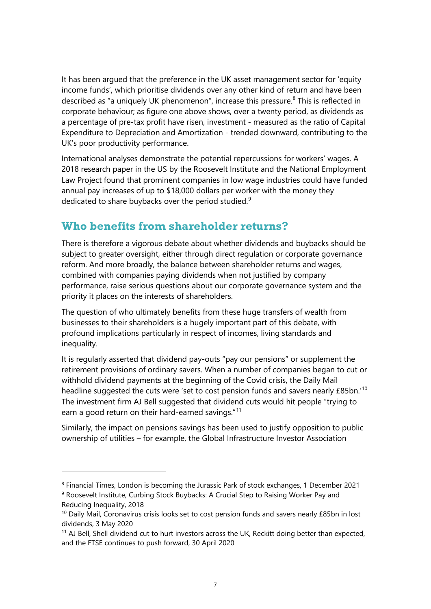It has been argued that the preference in the UK asset management sector for 'equity income funds', which prioritise dividends over any other kind of return and have been described as "a uniquely UK phenomenon", increase this pressure.<sup>[8](#page-6-0)</sup> This is reflected in corporate behaviour; as figure one above shows, over a twenty period, as dividends as a percentage of pre-tax profit have risen, investment - measured as the ratio of Capital Expenditure to Depreciation and Amortization - trended downward, contributing to the UK's poor productivity performance.

International analyses demonstrate the potential repercussions for workers' wages. A 2018 research paper in the US by the Roosevelt Institute and the National Employment Law Project found that prominent companies in low wage industries could have funded annual pay increases of up to \$18,000 dollars per worker with the money they dedicated to share buybacks over the period studied.<sup>[9](#page-6-1)</sup>

## **Who benefits from shareholder returns?**

There is therefore a vigorous debate about whether dividends and buybacks should be subject to greater oversight, either through direct regulation or corporate governance reform. And more broadly, the balance between shareholder returns and wages, combined with companies paying dividends when not justified by company performance, raise serious questions about our corporate governance system and the priority it places on the interests of shareholders.

The question of who ultimately benefits from these huge transfers of wealth from businesses to their shareholders is a hugely important part of this debate, with profound implications particularly in respect of incomes, living standards and inequality.

It is regularly asserted that dividend pay-outs "pay our pensions" or supplement the retirement provisions of ordinary savers. When a number of companies began to cut or withhold dividend payments at the beginning of the Covid crisis, the Daily Mail headline suggested the cuts were 'set to cost pension funds and savers nearly £85bn.<sup>'[10](#page-6-2)</sup> The investment firm AJ Bell suggested that dividend cuts would hit people "trying to earn a good return on their hard-earned savings."<sup>[11](#page-6-3)</sup>

Similarly, the impact on pensions savings has been used to justify opposition to public ownership of utilities – for example, the Global Infrastructure Investor Association

<span id="page-6-1"></span><span id="page-6-0"></span><sup>8</sup> Financial Times, London is becoming the Jurassic Park of stock exchanges, 1 December 2021 <sup>9</sup> Roosevelt Institute, Curbing Stock Buybacks: A Crucial Step to Raising Worker Pay and

Reducing Inequality, 2018

<span id="page-6-2"></span> $10$  Daily Mail, Coronavirus crisis looks set to cost pension funds and savers nearly £85bn in lost dividends, 3 May 2020

<span id="page-6-3"></span> $11$  AJ Bell, Shell dividend cut to hurt investors across the UK, Reckitt doing better than expected, and the FTSE continues to push forward, 30 April 2020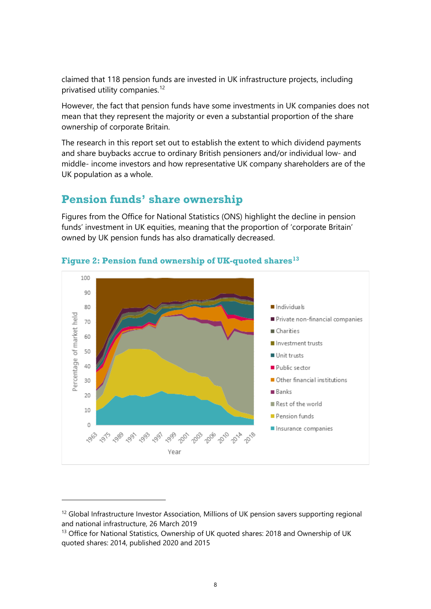claimed that 118 pension funds are invested in UK infrastructure projects, including privatised utility companies.<sup>[12](#page-7-0)</sup>

However, the fact that pension funds have some investments in UK companies does not mean that they represent the majority or even a substantial proportion of the share ownership of corporate Britain.

The research in this report set out to establish the extent to which dividend payments and share buybacks accrue to ordinary British pensioners and/or individual low- and middle- income investors and how representative UK company shareholders are of the UK population as a whole.

## **Pension funds' share ownership**

Figures from the Office for National Statistics (ONS) highlight the decline in pension funds' investment in UK equities, meaning that the proportion of 'corporate Britain' owned by UK pension funds has also dramatically decreased.



## **Figure 2: Pension fund ownership of UK-quoted shares[13](#page-7-1)**

<span id="page-7-0"></span><sup>&</sup>lt;sup>12</sup> Global Infrastructure Investor Association, Millions of UK pension savers supporting regional and national infrastructure, 26 March 2019

<span id="page-7-1"></span><sup>&</sup>lt;sup>13</sup> Office for National Statistics, Ownership of UK quoted shares: 2018 and Ownership of UK quoted shares: 2014, published 2020 and 2015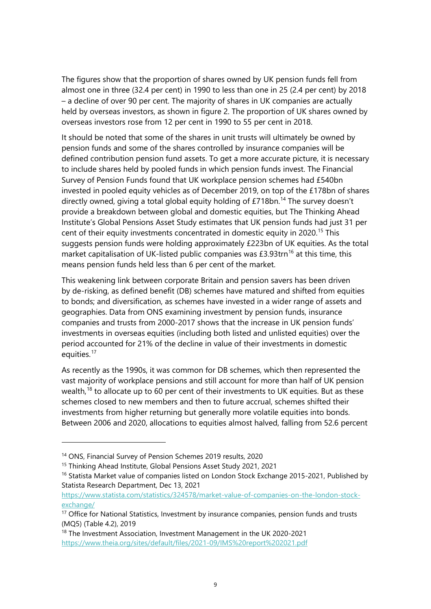The figures show that the proportion of shares owned by UK pension funds fell from almost one in three (32.4 per cent) in 1990 to less than one in 25 (2.4 per cent) by 2018 – a decline of over 90 per cent. The majority of shares in UK companies are actually held by overseas investors, as shown in figure 2. The proportion of UK shares owned by overseas investors rose from 12 per cent in 1990 to 55 per cent in 2018.

It should be noted that some of the shares in unit trusts will ultimately be owned by pension funds and some of the shares controlled by insurance companies will be defined contribution pension fund assets. To get a more accurate picture, it is necessary to include shares held by pooled funds in which pension funds invest. The Financial Survey of Pension Funds found that UK workplace pension schemes had £540bn invested in pooled equity vehicles as of December 2019, on top of the £178bn of shares directly owned, giving a total global equity holding of  $£718$ bn.<sup>[14](#page-8-0)</sup> The survey doesn't provide a breakdown between global and domestic equities, but The Thinking Ahead Institute's Global Pensions Asset Study estimates that UK pension funds had just 31 per cent of their equity investments concentrated in domestic equity in 2020.<sup>[15](#page-8-1)</sup> This suggests pension funds were holding approximately £223bn of UK equities. As the total market capitalisation of UK-listed public companies was  $£3.93$ trn<sup>[16](#page-8-2)</sup> at this time, this means pension funds held less than 6 per cent of the market.

This weakening link between corporate Britain and pension savers has been driven by de-risking, as defined benefit (DB) schemes have matured and shifted from equities to bonds; and diversification, as schemes have invested in a wider range of assets and geographies. [Data from ONS](https://www.ons.gov.uk/economy/investmentspensionsandtrusts/datasets/mq5investmentbyinsurancecompaniespensionfundsandtrusts) examining investment by pension funds, insurance companies and trusts from 2000-2017 shows that the increase in UK pension funds' investments in overseas equities (including both listed and unlisted equities) over the period accounted for 21% of the decline in value of their investments in domestic equities. $17$ 

As recently as the 1990s, it was common for DB schemes, which then represented the vast majority of workplace pensions and still account for more than half of UK pension wealth,<sup>[18](#page-8-4)</sup> to allocate up to 60 per cent of their investments to UK equities. But as these schemes closed to new members and then to future accrual, schemes shifted their investments from higher returning but generally more volatile equities into bonds. Between 2006 and 2020, allocations to equities almost halved, falling from 52.6 percent

<span id="page-8-0"></span><sup>14</sup> ONS, Financial Survey of Pension Schemes 2019 results, 2020

<span id="page-8-1"></span><sup>15</sup> Thinking Ahead Institute, Global Pensions Asset Study 2021, 2021

<span id="page-8-2"></span><sup>&</sup>lt;sup>16</sup> Statista Market value of companies listed on London Stock Exchange 2015-2021, Published by Statista Research Department, Dec 13, 2021

[https://www.statista.com/statistics/324578/market-value-of-companies-on-the-london-stock](https://www.statista.com/statistics/324578/market-value-of-companies-on-the-london-stock-exchange/)[exchange/](https://www.statista.com/statistics/324578/market-value-of-companies-on-the-london-stock-exchange/)

<span id="page-8-3"></span><sup>&</sup>lt;sup>17</sup> Office for National Statistics, Investment by insurance companies, pension funds and trusts (MQ5) (Table 4.2), 2019

<span id="page-8-4"></span><sup>&</sup>lt;sup>18</sup> The Investment Association, Investment Management in the UK 2020-2021 <https://www.theia.org/sites/default/files/2021-09/IMS%20report%202021.pdf>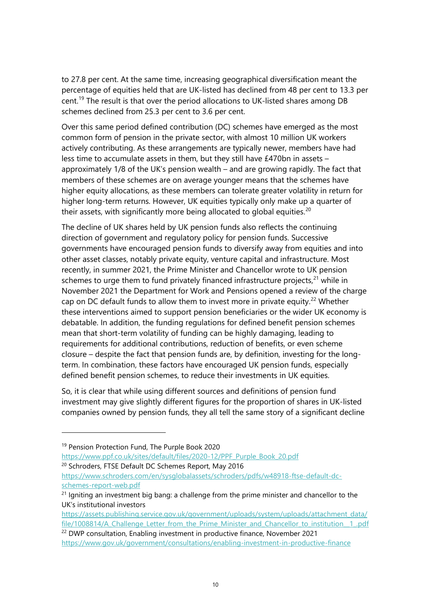to 27.8 per cent. At the same time, increasing geographical diversification meant the percentage of equities held that are UK-listed has declined from 48 per cent to 13.3 per cent.[19](#page-9-0) The result is that over the period allocations to UK-listed shares among DB schemes declined from 25.3 per cent to 3.6 per cent.

Over this same period defined contribution (DC) schemes have emerged as the most common form of pension in the private sector, with almost 10 million UK workers actively contributing. As these arrangements are typically newer, members have had less time to accumulate assets in them, but they still have £470bn in assets – approximately 1/8 of the UK's pension wealth – and are growing rapidly. The fact that members of these schemes are on average younger means that the schemes have higher equity allocations, as these members can tolerate greater volatility in return for higher long-term returns. However, UK equities typically only make up a quarter of their assets, with significantly more being allocated to global equities.<sup>[20](#page-9-1)</sup>

The decline of UK shares held by UK pension funds also reflects the continuing direction of government and regulatory policy for pension funds. Successive governments have encouraged pension funds to diversify away from equities and into other asset classes, notably private equity, venture capital and infrastructure. Most recently, in summer 2021, the Prime Minister and Chancellor wrote to UK pension schemes to urge them to fund privately financed infrastructure projects, $21$  while in November 2021 the Department for Work and Pensions opened a review of the charge cap on DC default funds to allow them to invest more in private equity.<sup>[22](#page-9-3)</sup> Whether these interventions aimed to support pension beneficiaries or the wider UK economy is debatable. In addition, the funding regulations for defined benefit pension schemes mean that short-term volatility of funding can be highly damaging, leading to requirements for additional contributions, reduction of benefits, or even scheme closure – despite the fact that pension funds are, by definition, investing for the longterm. In combination, these factors have encouraged UK pension funds, especially defined benefit pension schemes, to reduce their investments in UK equities.

So, it is clear that while using different sources and definitions of pension fund investment may give slightly different figures for the proportion of shares in UK-listed companies owned by pension funds, they all tell the same story of a significant decline

<span id="page-9-1"></span>[https://www.ppf.co.uk/sites/default/files/2020-12/PPF\\_Purple\\_Book\\_20.pdf](https://www.ppf.co.uk/sites/default/files/2020-12/PPF_Purple_Book_20.pdf) <sup>20</sup> Schroders, FTSE Default DC Schemes Report, May 2016 [https://www.schroders.com/en/sysglobalassets/schroders/pdfs/w48918-ftse-default-dc](https://www.schroders.com/en/sysglobalassets/schroders/pdfs/w48918-ftse-default-dc-schemes-report-web.pdf)[schemes-report-web.pdf](https://www.schroders.com/en/sysglobalassets/schroders/pdfs/w48918-ftse-default-dc-schemes-report-web.pdf)

<span id="page-9-0"></span><sup>&</sup>lt;sup>19</sup> Pension Protection Fund, The Purple Book 2020

<span id="page-9-2"></span> $21$  Igniting an investment big bang: a challenge from the prime minister and chancellor to the UK's institutional investors

[https://assets.publishing.service.gov.uk/government/uploads/system/uploads/attachment\\_data/](https://assets.publishing.service.gov.uk/government/uploads/system/uploads/attachment_data/file/1008814/A_Challenge_Letter_from_the_Prime_Minister_and_Chancellor_to_institution__1_.pdf) file/1008814/A Challenge Letter from the Prime Minister and Chancellor to institution 1.pdf <sup>22</sup> DWP consultation, Enabling investment in productive finance, November 2021

<span id="page-9-3"></span><https://www.gov.uk/government/consultations/enabling-investment-in-productive-finance>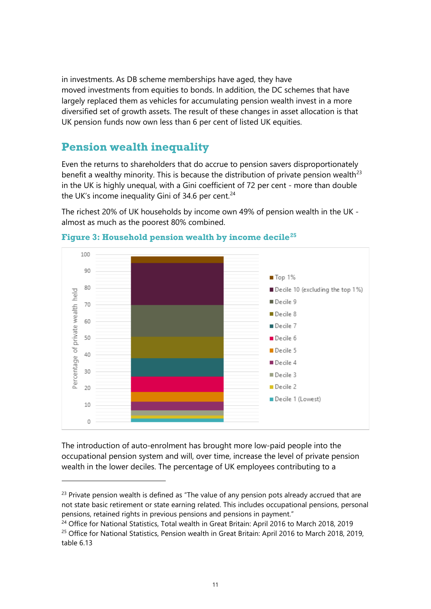in investments. As DB scheme memberships have aged, they have moved investments from equities to bonds. In addition, the DC schemes that have largely replaced them as vehicles for accumulating pension wealth invest in a more diversified set of growth assets. The result of these changes in asset allocation is that UK pension funds now own less than 6 per cent of listed UK equities.

## **Pension wealth inequality**

Even the returns to shareholders that do accrue to pension savers disproportionately benefit a wealthy minority. This is because the distribution of private pension wealth<sup>[23](#page-10-0)</sup> in the UK is highly unequal, with a Gini coefficient of 72 per cent - more than double the UK's income inequality Gini of 34.6 per cent. $24$ 

The richest 20% of UK households by income own 49% of pension wealth in the UK almost as much as the poorest 80% combined.



## **Figure 3: Household pension wealth by income decile[25](#page-10-2)**

The introduction of auto-enrolment has brought more low-paid people into the occupational pension system and will, over time, increase the level of private pension wealth in the lower deciles. The percentage of UK employees contributing to a

<span id="page-10-0"></span> $23$  Private pension wealth is defined as "The value of any pension pots already accrued that are not state basic retirement or state earning related. This includes occupational pensions, personal pensions, retained rights in previous pensions and pensions in payment."

<span id="page-10-2"></span><span id="page-10-1"></span><sup>&</sup>lt;sup>24</sup> Office for National Statistics, Total wealth in Great Britain: April 2016 to March 2018, 2019 <sup>25</sup> Office for National Statistics, Pension wealth in Great Britain: April 2016 to March 2018, 2019, table 6.13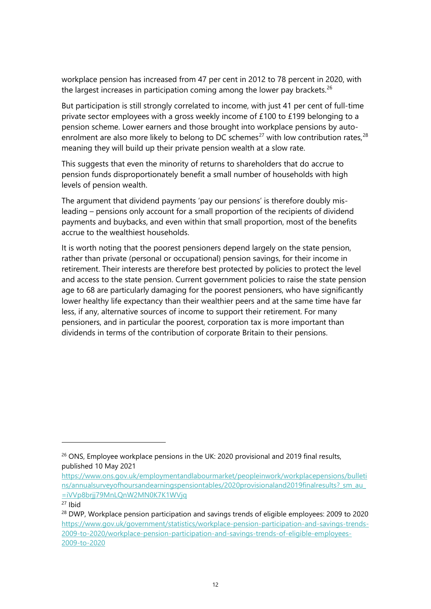workplace pension has increased from 47 per cent in 2012 to 78 percent in 2020, with the largest increases in participation coming among the lower pay brackets.<sup>[26](#page-11-0)</sup>

But participation is still strongly correlated to income, with just 41 per cent of full-time private sector employees with a gross weekly income of £100 to £199 belonging to a pension scheme. Lower earners and those brought into workplace pensions by auto-enrolment are also more likely to belong to DC schemes<sup>[27](#page-11-1)</sup> with low contribution rates,  $28$ meaning they will build up their private pension wealth at a slow rate.

This suggests that even the minority of returns to shareholders that do accrue to pension funds disproportionately benefit a small number of households with high levels of pension wealth.

The argument that dividend payments 'pay our pensions' is therefore doubly misleading – pensions only account for a small proportion of the recipients of dividend payments and buybacks, and even within that small proportion, most of the benefits accrue to the wealthiest households.

It is worth noting that the poorest pensioners depend largely on the state pension, rather than private (personal or occupational) pension savings, for their income in retirement. Their interests are therefore best protected by policies to protect the level and access to the state pension. Current government policies to raise the state pension age to 68 are particularly damaging for the poorest pensioners, who have significantly lower healthy life expectancy than their wealthier peers and at the same time have far less, if any, alternative sources of income to support their retirement. For many pensioners, and in particular the poorest, corporation tax is more important than dividends in terms of the contribution of corporate Britain to their pensions.

<span id="page-11-0"></span> $26$  ONS, Employee workplace pensions in the UK: 2020 provisional and 2019 final results, published 10 May 2021

[https://www.ons.gov.uk/employmentandlabourmarket/peopleinwork/workplacepensions/bulleti](https://www.ons.gov.uk/employmentandlabourmarket/peopleinwork/workplacepensions/bulletins/annualsurveyofhoursandearningspensiontables/2020provisionaland2019finalresults?_sm_au_=iVVp8brjj79MnLQnW2MN0K7K1WVjq) ns/annualsurveyofhoursandearningspensiontables/2020provisionaland2019finalresults? sm\_au\_ [=iVVp8brjj79MnLQnW2MN0K7K1WVjq](https://www.ons.gov.uk/employmentandlabourmarket/peopleinwork/workplacepensions/bulletins/annualsurveyofhoursandearningspensiontables/2020provisionaland2019finalresults?_sm_au_=iVVp8brjj79MnLQnW2MN0K7K1WVjq) 27 Ibid

<span id="page-11-1"></span>

<span id="page-11-2"></span><sup>&</sup>lt;sup>28</sup> DWP, Workplace pension participation and savings trends of eligible employees: 2009 to 2020 [https://www.gov.uk/government/statistics/workplace-pension-participation-and-savings-trends-](https://www.gov.uk/government/statistics/workplace-pension-participation-and-savings-trends-2009-to-2020/workplace-pension-participation-and-savings-trends-of-eligible-employees-2009-to-2020)[2009-to-2020/workplace-pension-participation-and-savings-trends-of-eligible-employees-](https://www.gov.uk/government/statistics/workplace-pension-participation-and-savings-trends-2009-to-2020/workplace-pension-participation-and-savings-trends-of-eligible-employees-2009-to-2020)[2009-to-2020](https://www.gov.uk/government/statistics/workplace-pension-participation-and-savings-trends-2009-to-2020/workplace-pension-participation-and-savings-trends-of-eligible-employees-2009-to-2020)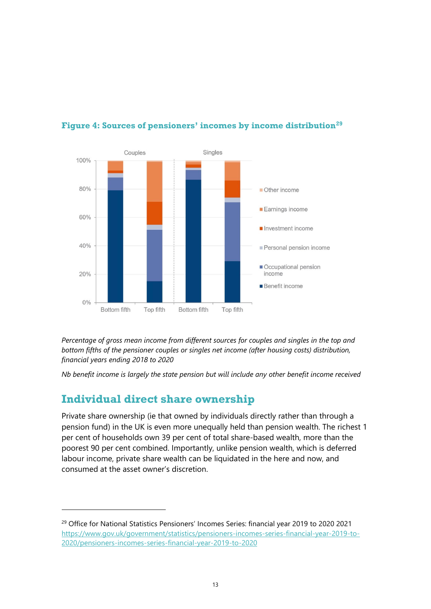

## **Figure 4: Sources of pensioners' incomes by income distribution[29](#page-12-0)**

*Percentage of gross mean income from different sources for couples and singles in the top and bottom fifths of the pensioner couples or singles net income (after housing costs) distribution, financial years ending 2018 to 2020* 

*Nb benefit income is largely the state pension but will include any other benefit income received*

# **Individual direct share ownership**

Private share ownership (ie that owned by individuals directly rather than through a pension fund) in the UK is even more unequally held than pension wealth. The richest 1 per cent of households own 39 per cent of total share-based wealth, more than the poorest 90 per cent combined. Importantly, unlike pension wealth, which is deferred labour income, private share wealth can be liquidated in the here and now, and consumed at the asset owner's discretion.

<span id="page-12-0"></span><sup>&</sup>lt;sup>29</sup> Office for National Statistics Pensioners' Incomes Series: financial year 2019 to 2020 2021 [https://www.gov.uk/government/statistics/pensioners-incomes-series-financial-year-2019-to-](https://www.gov.uk/government/statistics/pensioners-incomes-series-financial-year-2019-to-2020/pensioners-incomes-series-financial-year-2019-to-2020)[2020/pensioners-incomes-series-financial-year-2019-to-2020](https://www.gov.uk/government/statistics/pensioners-incomes-series-financial-year-2019-to-2020/pensioners-incomes-series-financial-year-2019-to-2020)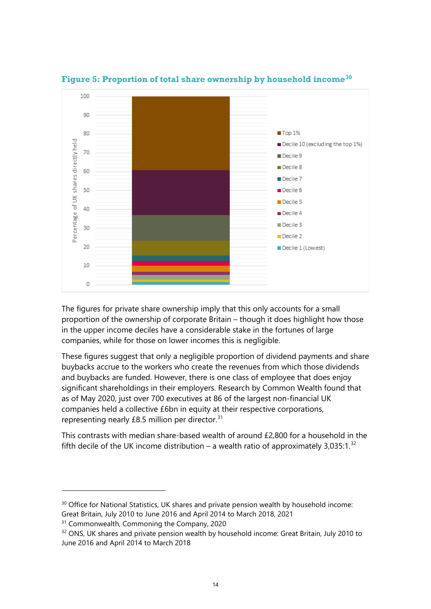

**Figure 5: Proportion of total share ownership by household income[30](#page-13-0)**

The figures for private share ownership imply that this only accounts for a small proportion of the ownership of corporate Britain – though it does highlight how those in the upper income deciles have a considerable stake in the fortunes of large companies, while for those on lower incomes this is negligible.

These figures suggest that only a negligible proportion of dividend payments and share buybacks accrue to the workers who create the revenues from which those dividends and buybacks are funded. However, there is one class of employee that does enjoy significant shareholdings in their employers. [Research by Common](https://www.common-wealth.co.uk/reports/commoning-the-company) Wealth found that as of May 2020, just over 700 executives at 86 of the largest non-financial UK companies held a collective £6bn in equity at their respective corporations, representing nearly  $£8.5$  million per director.<sup>[31](#page-13-1)</sup>

This contrasts with median share-based wealth of around £2,800 for a household in the fifth decile of the UK income distribution – a wealth ratio of approximately 3,035:1. $^{32}$  $^{32}$  $^{32}$ 

<span id="page-13-0"></span><sup>&</sup>lt;sup>30</sup> Office for National Statistics, UK shares and private pension wealth by household income: Great Britain, July 2010 to June 2016 and April 2014 to March 2018, 2021

<span id="page-13-1"></span><sup>&</sup>lt;sup>31</sup> Commonwealth, Commoning the Company, 2020

<span id="page-13-2"></span> $32$  ONS, UK shares and private pension wealth by household income: Great Britain, July 2010 to June 2016 and April 2014 to March 2018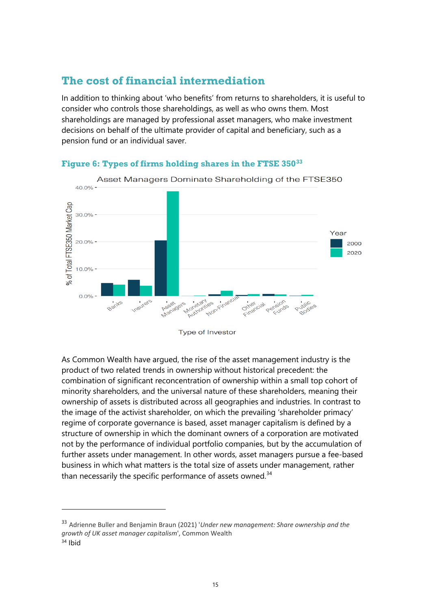## **The cost of financial intermediation**

In addition to thinking about 'who benefits' from returns to shareholders, it is useful to consider who controls those shareholdings, as well as who owns them. Most shareholdings are managed by professional asset managers, who make investment decisions on behalf of the ultimate provider of capital and beneficiary, such as a pension fund or an individual saver.



#### **Figure 6: Types of firms holding shares in the FTSE 350[33](#page-14-0)**

Type of Investor

As Common Wealth have argued, the rise of the asset management industry is the product of two related trends in ownership without historical precedent: the combination of significant reconcentration of ownership within a small top cohort of minority shareholders, and the universal nature of these shareholders, meaning their ownership of assets is distributed across all geographies and industries. In contrast to the image of the activist shareholder, on which the prevailing 'shareholder primacy' regime of corporate governance is based, asset manager capitalism is defined by a structure of ownership in which the dominant owners of a corporation are motivated not by the performance of individual portfolio companies, but by the accumulation of further assets under management. In other words, asset managers pursue a fee-based business in which what matters is the total size of assets under management, rather than necessarily the specific performance of assets owned. $34$ 

<span id="page-14-1"></span><span id="page-14-0"></span><sup>33</sup> Adrienne Buller and Benjamin Braun (2021) '*Under new management: Share ownership and the growth of UK asset manager capitalism*', Common Wealth <sup>34</sup> Ibid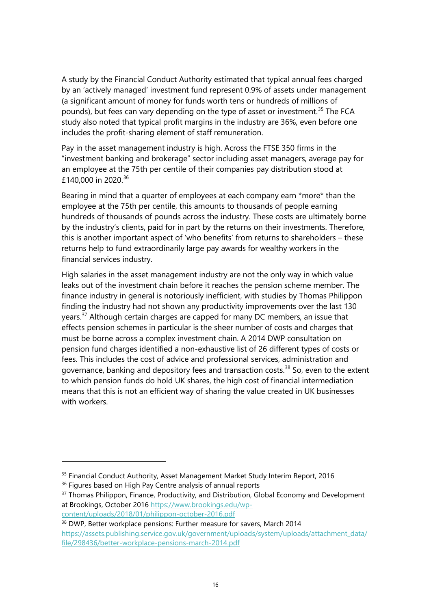[A study by the Financial Conduct Authority](https://www.fca.org.uk/publication/market-studies/ms15-2-2-interim-report.pdf) estimated that typical annual fees charged by an 'actively managed' investment fund represent 0.9% of assets under management (a significant amount of money for funds worth tens or hundreds of millions of pounds), but fees can vary depending on the type of asset or investment.<sup>[35](#page-15-0)</sup> The FCA study also noted that typical profit margins in the industry are 36%, even before one includes the profit-sharing element of staff remuneration.

Pay in the asset management industry is high. Across the FTSE 350 firms in the "investment banking and brokerage" sector including asset managers, average pay for an employee at the 75th per centile of their companies pay distribution stood at £140,000 in 2020.<sup>[36](#page-15-1)</sup>

Bearing in mind that a quarter of employees at each company earn \*more\* than the employee at the 75th per centile, this amounts to thousands of people earning hundreds of thousands of pounds across the industry. These costs are ultimately borne by the industry's clients, paid for in part by the returns on their investments. Therefore, this is another important aspect of 'who benefits' from returns to shareholders – these returns help to fund extraordinarily large pay awards for wealthy workers in the financial services industry.

High salaries in the asset management industry are not the only way in which value leaks out of the investment chain before it reaches the pension scheme member. The finance industry in general is notoriously inefficient, with studies by Thomas Philippon finding the industry had not shown any productivity improvements over the last 130 years.<sup>[37](#page-15-2)</sup> Although certain charges are capped for many DC members, an issue that effects pension schemes in particular is the sheer number of costs and charges that must be borne across a complex investment chain. A 2014 DWP consultation on pension fund charges identified a non-exhaustive list of 26 different types of costs or fees. This includes the cost of advice and professional services, administration and governance, banking and depository fees and transaction costs.<sup>[38](#page-15-3)</sup> So, even to the extent to which pension funds do hold UK shares, the high cost of financial intermediation means that this is not an efficient way of sharing the value created in UK businesses with workers.

<span id="page-15-0"></span><sup>&</sup>lt;sup>35</sup> Financial Conduct Authority, Asset Management Market Study Interim Report, 2016

<span id="page-15-1"></span><sup>&</sup>lt;sup>36</sup> Figures based on High Pay Centre analysis of annual reports

<span id="page-15-2"></span><sup>&</sup>lt;sup>37</sup> Thomas Philippon, Finance, Productivity, and Distribution, Global Economy and Development at Brookings, October 2016 [https://www.brookings.edu/wp](https://www.brookings.edu/wp-content/uploads/2018/01/philippon-october-2016.pdf)[content/uploads/2018/01/philippon-october-2016.pdf](https://www.brookings.edu/wp-content/uploads/2018/01/philippon-october-2016.pdf)

<span id="page-15-3"></span><sup>&</sup>lt;sup>38</sup> DWP, Better workplace pensions: Further measure for savers, March 2014 [https://assets.publishing.service.gov.uk/government/uploads/system/uploads/attachment\\_data/](https://assets.publishing.service.gov.uk/government/uploads/system/uploads/attachment_data/file/298436/better-workplace-pensions-march-2014.pdf) [file/298436/better-workplace-pensions-march-2014.pdf](https://assets.publishing.service.gov.uk/government/uploads/system/uploads/attachment_data/file/298436/better-workplace-pensions-march-2014.pdf)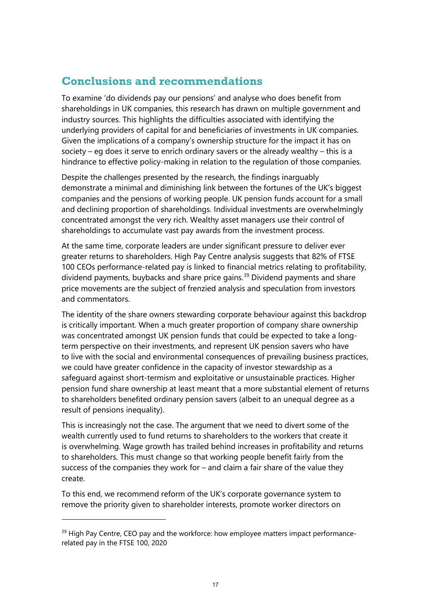## **Conclusions and recommendations**

To examine 'do dividends pay our pensions' and analyse who does benefit from shareholdings in UK companies, this research has drawn on multiple government and industry sources. This highlights the difficulties associated with identifying the underlying providers of capital for and beneficiaries of investments in UK companies. Given the implications of a company's ownership structure for the impact it has on society – eg does it serve to enrich ordinary savers or the already wealthy – this is a hindrance to effective policy-making in relation to the regulation of those companies.

Despite the challenges presented by the research, the findings inarguably demonstrate a minimal and diminishing link between the fortunes of the UK's biggest companies and the pensions of working people. UK pension funds account for a small and declining proportion of shareholdings. Individual investments are overwhelmingly concentrated amongst the very rich. Wealthy asset managers use their control of shareholdings to accumulate vast pay awards from the investment process.

At the same time, corporate leaders are under significant pressure to deliver ever greater returns to shareholders. [High Pay Centre analysis](https://highpaycentre.org/ceo-pay-and-the-workforce-how-employee-matters-impact-performance-related-pay-in-the-ftse-100/) suggests that 82% of FTSE 100 CEOs performance-related pay is linked to financial metrics relating to profitability, dividend payments, buybacks and share price gains.<sup>[39](#page-16-0)</sup> Dividend payments and share price movements are the subject of frenzied analysis and speculation from investors and commentators.

The identity of the share owners stewarding corporate behaviour against this backdrop is critically important. When a much greater proportion of company share ownership was concentrated amongst UK pension funds that could be expected to take a longterm perspective on their investments, and represent UK pension savers who have to live with the social and environmental consequences of prevailing business practices, we could have greater confidence in the capacity of investor stewardship as a safeguard against short-termism and exploitative or unsustainable practices. Higher pension fund share ownership at least meant that a more substantial element of returns to shareholders benefited ordinary pension savers (albeit to an unequal degree as a result of pensions inequality).

This is increasingly not the case. The argument that we need to divert some of the wealth currently used to fund returns to shareholders to the workers that create it is overwhelming. Wage growth has trailed behind increases in profitability and returns to shareholders. This must change so that working people benefit fairly from the success of the companies they work for – and claim a fair share of the value they create.

To this end, we recommend reform of the UK's corporate governance system to remove the priority given to shareholder interests, promote worker directors on

<span id="page-16-0"></span> $39$  High Pay Centre, CEO pay and the workforce: how employee matters impact performancerelated pay in the FTSE 100, 2020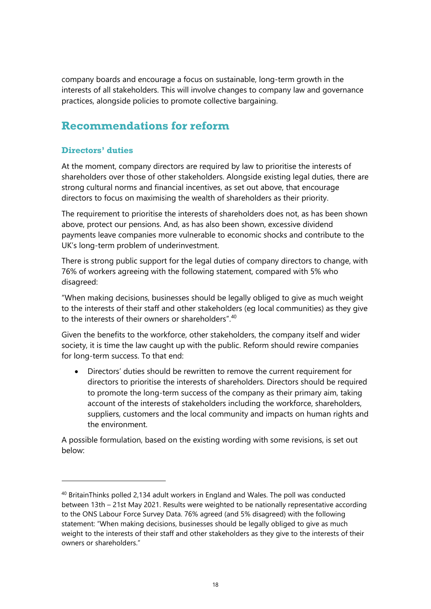company boards and encourage a focus on sustainable, long-term growth in the interests of all stakeholders. This will involve changes to company law and governance practices, alongside policies to promote collective bargaining.

# **Recommendations for reform**

## **Directors' duties**

At the moment, company directors are required by law to prioritise the interests of shareholders over those of other stakeholders. Alongside existing legal duties, there are strong cultural norms and financial incentives, as set out above, that encourage directors to focus on maximising the wealth of shareholders as their priority.

The requirement to prioritise the interests of shareholders does not, as has been shown above, protect our pensions. And, as has also been shown, excessive dividend payments leave companies more vulnerable to economic shocks and contribute to the UK's long-term problem of underinvestment.

There is strong public support for the legal duties of company directors to change, with 76% of workers agreeing with the following statement, compared with 5% who disagreed:

"When making decisions, businesses should be legally obliged to give as much weight to the interests of their staff and other stakeholders (eg local communities) as they give to the interests of their owners or shareholders".<sup>[40](#page-17-0)</sup>

Given the benefits to the workforce, other stakeholders, the company itself and wider society, it is time the law caught up with the public. Reform should rewire companies for long-term success. To that end:

• Directors' duties should be rewritten to remove the current requirement for directors to prioritise the interests of shareholders. Directors should be required to promote the long-term success of the company as their primary aim, taking account of the interests of stakeholders including the workforce, shareholders, suppliers, customers and the local community and impacts on human rights and the environment.

A possible formulation, based on the existing wording with some revisions, is set out below:

<span id="page-17-0"></span><sup>40</sup> BritainThinks polled 2,134 adult workers in England and Wales. The poll was conducted between 13th – 21st May 2021. Results were weighted to be nationally representative according to the ONS Labour Force Survey Data. 76% agreed (and 5% disagreed) with the following statement: "When making decisions, businesses should be legally obliged to give as much weight to the interests of their staff and other stakeholders as they give to the interests of their owners or shareholders."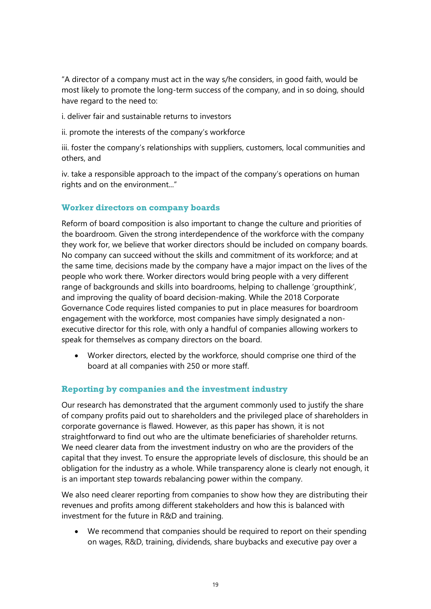"A director of a company must act in the way s/he considers, in good faith, would be most likely to promote the long-term success of the company, and in so doing, should have regard to the need to:

i. deliver fair and sustainable returns to investors

ii. promote the interests of the company's workforce

iii. foster the company's relationships with suppliers, customers, local communities and others, and

iv. take a responsible approach to the impact of the company's operations on human rights and on the environment..."

#### **Worker directors on company boards**

Reform of board composition is also important to change the culture and priorities of the boardroom. Given the strong interdependence of the workforce with the company they work for, we believe that worker directors should be included on company boards. No company can succeed without the skills and commitment of its workforce; and at the same time, decisions made by the company have a major impact on the lives of the people who work there. Worker directors would bring people with a very different range of backgrounds and skills into boardrooms, helping to challenge 'groupthink', and improving the quality of board decision-making. While the 2018 Corporate Governance Code requires listed companies to put in place measures for boardroom engagement with the workforce, most companies have simply designated a nonexecutive director for this role, with only a handful of companies allowing workers to speak for themselves as company directors on the board.

• Worker directors, elected by the workforce, should comprise one third of the board at all companies with 250 or more staff.

#### **Reporting by companies and the investment industry**

Our research has demonstrated that the argument commonly used to justify the share of company profits paid out to shareholders and the privileged place of shareholders in corporate governance is flawed. However, as this paper has shown, it is not straightforward to find out who are the ultimate beneficiaries of shareholder returns. We need clearer data from the investment industry on who are the providers of the capital that they invest. To ensure the appropriate levels of disclosure, this should be an obligation for the industry as a whole. While transparency alone is clearly not enough, it is an important step towards rebalancing power within the company.

We also need clearer reporting from companies to show how they are distributing their revenues and profits among different stakeholders and how this is balanced with investment for the future in R&D and training.

• We recommend that companies should be required to report on their spending on wages, R&D, training, dividends, share buybacks and executive pay over a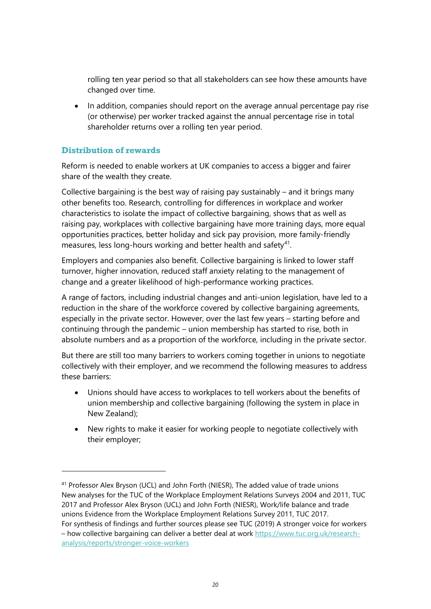rolling ten year period so that all stakeholders can see how these amounts have changed over time.

• In addition, companies should report on the average annual percentage pay rise (or otherwise) per worker tracked against the annual percentage rise in total shareholder returns over a rolling ten year period.

#### **Distribution of rewards**

Reform is needed to enable workers at UK companies to access a bigger and fairer share of the wealth they create.

Collective bargaining is the best way of raising pay sustainably – and it brings many other benefits too. Research, controlling for differences in workplace and worker characteristics to isolate the impact of collective bargaining, shows that as well as raising pay, workplaces with collective bargaining have more training days, more equal opportunities practices, better holiday and sick pay provision, more family-friendly measures, less long-hours working and better health and safety $41$ .

Employers and companies also benefit. Collective bargaining is linked to lower staff turnover, higher innovation, reduced staff anxiety relating to the management of change and a greater likelihood of high-performance working practices.

A range of factors, including industrial changes and anti-union legislation, have led to a reduction in the share of the workforce covered by collective bargaining agreements, especially in the private sector. However, over the last few years – starting before and continuing through the pandemic – union membership has started to rise, both in absolute numbers and as a proportion of the workforce, including in the private sector.

But there are still too many barriers to workers coming together in unions to negotiate collectively with their employer, and we recommend the following measures to address these barriers:

- Unions should have access to workplaces to tell workers about the benefits of union membership and collective bargaining (following the system in place in New Zealand);
- New rights to make it easier for working people to negotiate collectively with their employer;

<span id="page-19-0"></span><sup>41</sup> Professor Alex Bryson (UCL) and John Forth (NIESR), The added value of trade unions New analyses for the TUC of the Workplace Employment Relations Surveys 2004 and 2011, TUC 2017 and Professor Alex Bryson (UCL) and John Forth (NIESR), Work/life balance and trade unions Evidence from the Workplace Employment Relations Survey 2011, TUC 2017. For synthesis of findings and further sources please see TUC (2019) A stronger voice for workers

<sup>–</sup> how collective bargaining can deliver a better deal at work [https://www.tuc.org.uk/research](https://www.tuc.org.uk/research-analysis/reports/stronger-voice-workers)[analysis/reports/stronger-voice-workers](https://www.tuc.org.uk/research-analysis/reports/stronger-voice-workers)